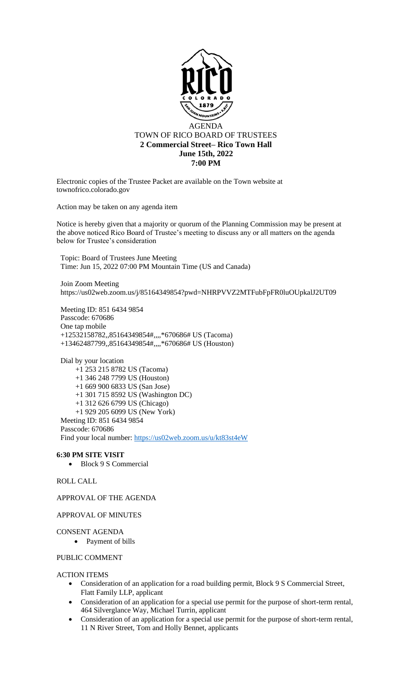

Electronic copies of the Trustee Packet are available on the Town website at townofrico.colorado.gov

Action may be taken on any agenda item

Notice is hereby given that a majority or quorum of the Planning Commission may be present at the above noticed Rico Board of Trustee's meeting to discuss any or all matters on the agenda below for Trustee's consideration

Topic: Board of Trustees June Meeting Time: Jun 15, 2022 07:00 PM Mountain Time (US and Canada)

Join Zoom Meeting https://us02web.zoom.us/j/85164349854?pwd=NHRPVVZ2MTFubFpFR0luOUpkalJ2UT09

Meeting ID: 851 6434 9854 Passcode: 670686 One tap mobile +12532158782,,85164349854#,,,,\*670686# US (Tacoma) +13462487799,,85164349854#,,,,\*670686# US (Houston)

Dial by your location +1 253 215 8782 US (Tacoma) +1 346 248 7799 US (Houston) +1 669 900 6833 US (San Jose) +1 301 715 8592 US (Washington DC) +1 312 626 6799 US (Chicago) +1 929 205 6099 US (New York) Meeting ID: 851 6434 9854 Passcode: 670686 Find your local number:<https://us02web.zoom.us/u/kt83st4eW>

## **6:30 PM SITE VISIT**

• Block 9 S Commercial

# ROLL CALL

APPROVAL OF THE AGENDA

## APPROVAL OF MINUTES

#### CONSENT AGENDA

• Payment of bills

## PUBLIC COMMENT

#### ACTION ITEMS

- Consideration of an application for a road building permit, Block 9 S Commercial Street, Flatt Family LLP, applicant
- Consideration of an application for a special use permit for the purpose of short-term rental, 464 Silverglance Way, Michael Turrin, applicant
- Consideration of an application for a special use permit for the purpose of short-term rental, 11 N River Street, Tom and Holly Bennet, applicants